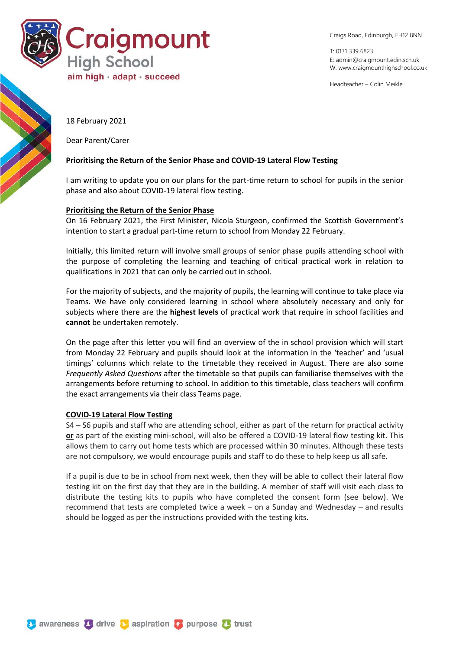

Craigs Road, Edinburgh, EH12 8NN

T: 0131 339 6823 E: [admin@craigmount.edin.sch.uk](mailto:admin@craigmount.edin.sch.uk) W[: www.craigmounthighschool.co.uk](http://www.craigmounthighschool.co.uk/)

Headteacher – Colin Meikle

18 February 2021

Dear Parent/Carer

#### **Prioritising the Return of the Senior Phase and COVID-19 Lateral Flow Testing**

I am writing to update you on our plans for the part-time return to school for pupils in the senior phase and also about COVID-19 lateral flow testing.

#### **Prioritising the Return of the Senior Phase**

On 16 February 2021, the First Minister, Nicola Sturgeon, confirmed the Scottish Government's intention to start a gradual part-time return to school from Monday 22 February.

Initially, this limited return will involve small groups of senior phase pupils attending school with the purpose of completing the learning and teaching of critical practical work in relation to qualifications in 2021 that can only be carried out in school.

For the majority of subjects, and the majority of pupils, the learning will continue to take place via Teams. We have only considered learning in school where absolutely necessary and only for subjects where there are the **highest levels** of practical work that require in school facilities and **cannot** be undertaken remotely.

On the page after this letter you will find an overview of the in school provision which will start from Monday 22 February and pupils should look at the information in the 'teacher' and 'usual timings' columns which relate to the timetable they received in August. There are also some *Frequently Asked Questions* after the timetable so that pupils can familiarise themselves with the arrangements before returning to school. In addition to this timetable, class teachers will confirm the exact arrangements via their class Teams page.

#### **COVID-19 Lateral Flow Testing**

S4 – S6 pupils and staff who are attending school, either as part of the return for practical activity **or** as part of the existing mini-school, will also be offered a COVID-19 lateral flow testing kit. This allows them to carry out home tests which are processed within 30 minutes. Although these tests are not compulsory, we would encourage pupils and staff to do these to help keep us all safe.

If a pupil is due to be in school from next week, then they will be able to collect their lateral flow testing kit on the first day that they are in the building. A member of staff will visit each class to distribute the testing kits to pupils who have completed the consent form (see below). We recommend that tests are completed twice a week – on a Sunday and Wednesday – and results should be logged as per the instructions provided with the testing kits.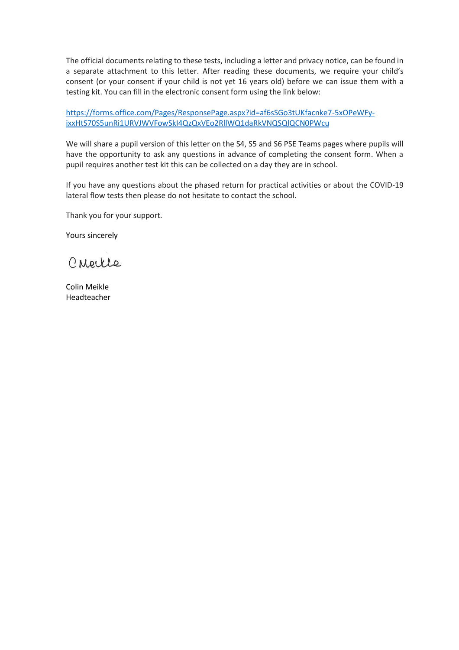The official documents relating to these tests, including a letter and privacy notice, can be found in a separate attachment to this letter. After reading these documents, we require your child's consent (or your consent if your child is not yet 16 years old) before we can issue them with a testing kit. You can fill in the electronic consent form using the link below:

[https://forms.office.com/Pages/ResponsePage.aspx?id=af6sSGo3tUKfacnke7-5xOPeWFy](https://forms.office.com/Pages/ResponsePage.aspx?id=af6sSGo3tUKfacnke7-5xOPeWFy-ixxHtS70S5unRi1URVJWVFowSkI4QzQxVEo2RllWQ1daRkVNQSQlQCN0PWcu)[ixxHtS70S5unRi1URVJWVFowSkI4QzQxVEo2RllWQ1daRkVNQSQlQCN0PWcu](https://forms.office.com/Pages/ResponsePage.aspx?id=af6sSGo3tUKfacnke7-5xOPeWFy-ixxHtS70S5unRi1URVJWVFowSkI4QzQxVEo2RllWQ1daRkVNQSQlQCN0PWcu)

We will share a pupil version of this letter on the S4, S5 and S6 PSE Teams pages where pupils will have the opportunity to ask any questions in advance of completing the consent form. When a pupil requires another test kit this can be collected on a day they are in school.

If you have any questions about the phased return for practical activities or about the COVID-19 lateral flow tests then please do not hesitate to contact the school.

Thank you for your support.

Yours sincerely

CNeille

Colin Meikle Headteacher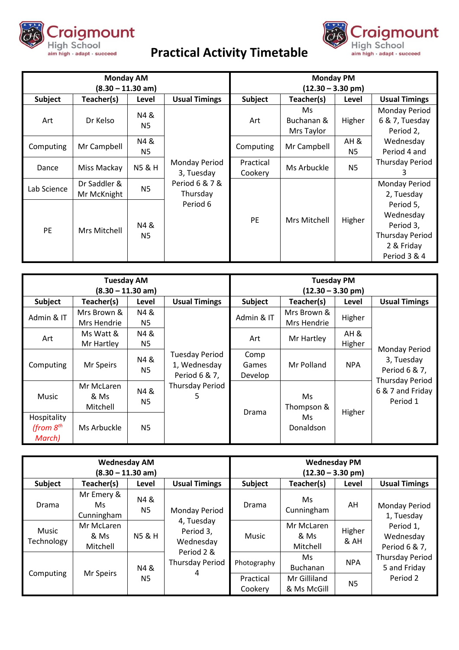

# **Practical Activity Timetable**

Craigmount

High School

aim high · adapt · succeed

| <b>Monday AM</b>    |              |                        |                                                           | <b>Monday PM</b>    |              |                |                        |
|---------------------|--------------|------------------------|-----------------------------------------------------------|---------------------|--------------|----------------|------------------------|
| $(8.30 - 11.30$ am) |              |                        |                                                           | $(12.30 - 3.30$ pm) |              |                |                        |
| Subject             | Teacher(s)   | Level                  | <b>Usual Timings</b>                                      | Subject             | Teacher(s)   | Level          | <b>Usual Timings</b>   |
|                     |              | N4 &                   |                                                           |                     | Ms.          |                | Monday Period          |
| Art                 | Dr Kelso     | N <sub>5</sub>         |                                                           | Art                 | Buchanan &   | Higher         | 6 & 7, Tuesday         |
|                     |              |                        |                                                           |                     | Mrs Taylor   |                | Period 2.              |
| Computing           | Mr Campbell  | N4&                    |                                                           | Computing           | Mr Campbell  | AH &           | Wednesday              |
|                     |              | N5                     | Monday Period<br>3, Tuesday<br>Period 6 & 7 &<br>Thursday |                     |              | N5             | Period 4 and           |
| Dance               | Miss Mackay  | <b>N5 &amp; H</b>      |                                                           | Practical           | Ms Arbuckle  | N <sub>5</sub> | <b>Thursday Period</b> |
|                     |              |                        |                                                           | Cookery             |              |                | З                      |
| Lab Science         | Dr Saddler & | <b>N5</b>              |                                                           |                     |              |                | Monday Period          |
|                     | Mr McKnight  |                        |                                                           |                     |              |                | 2, Tuesday             |
| PE                  | Mrs Mitchell | N4 &<br>N <sub>5</sub> | Period 6                                                  |                     | Mrs Mitchell |                | Period 5,              |
|                     |              |                        |                                                           |                     |              | Higher         | Wednesday              |
|                     |              |                        |                                                           | <b>PE</b>           |              |                | Period 3,              |
|                     |              |                        |                                                           |                     |              |                | <b>Thursday Period</b> |
|                     |              |                        |                                                           |                     |              |                | 2 & Friday             |
|                     |              |                        |                                                           |                     |              |                | Period 3 & 4           |

| <b>Tuesday AM</b><br>$(8.30 - 11.30$ am) |                                |                       |                                                        | <b>Tuesday PM</b><br>$(12.30 - 3.30$ pm) |                                       |                |                                                                                                               |
|------------------------------------------|--------------------------------|-----------------------|--------------------------------------------------------|------------------------------------------|---------------------------------------|----------------|---------------------------------------------------------------------------------------------------------------|
| Subject                                  | Teacher(s)                     | Level                 | <b>Usual Timings</b>                                   | Subject                                  | Teacher(s)                            | Level          | <b>Usual Timings</b>                                                                                          |
| Admin & IT                               | Mrs Brown &<br>Mrs Hendrie     | N4&<br>N5             |                                                        | Admin & IT                               | Mrs Brown &<br>Mrs Hendrie            | Higher         |                                                                                                               |
| Art                                      | Ms Watt &<br>Mr Hartley        | N4&<br>N5             |                                                        | Art                                      | Mr Hartley                            | AH &<br>Higher |                                                                                                               |
| Computing                                | Mr Speirs                      | N4&<br>N <sub>5</sub> | <b>Tuesday Period</b><br>1, Wednesday<br>Period 6 & 7, | Comp<br>Games<br>Develop                 | Mr Polland                            | <b>NPA</b>     | <b>Monday Period</b><br>3, Tuesday<br>Period 6 & 7,<br><b>Thursday Period</b><br>6 & 7 and Friday<br>Period 1 |
| <b>Music</b>                             | Mr McLaren<br>& Ms<br>Mitchell | N4&<br>N <sub>5</sub> | Thursday Period<br>5                                   | Drama                                    | Ms.<br>Thompson &<br>Ms.<br>Donaldson | Higher         |                                                                                                               |
| Hospitality<br>(from $8th$<br>March)     | Ms Arbuckle                    | N <sub>5</sub>        |                                                        |                                          |                                       |                |                                                                                                               |

| <b>Wednesday AM</b><br>$(8.30 - 11.30$ am) |                                |                   |                                                                                   | <b>Wednesday PM</b><br>$(12.30 - 3.30$ pm) |                                |                |                                         |
|--------------------------------------------|--------------------------------|-------------------|-----------------------------------------------------------------------------------|--------------------------------------------|--------------------------------|----------------|-----------------------------------------|
| Subject                                    | Teacher(s)                     | Level             | <b>Usual Timings</b>                                                              | <b>Subject</b>                             | Teacher(s)                     | Level          | <b>Usual Timings</b>                    |
| Drama                                      | Mr Emery &<br>Ms<br>Cunningham | N4 &<br><b>N5</b> | Monday Period                                                                     | Drama                                      | Ms<br>Cunningham               | AH             | <b>Monday Period</b><br>1, Tuesday      |
| <b>Music</b><br>Technology                 | Mr McLaren<br>& Ms<br>Mitchell | <b>N5 &amp; H</b> | 4, Tuesday<br>Period 3,<br>Wednesday<br>Period 2 &<br><b>Thursday Period</b><br>4 | Music                                      | Mr McLaren<br>& Ms<br>Mitchell | Higher<br>& AH | Period 1,<br>Wednesday<br>Period 6 & 7, |
| Computing                                  | Mr Speirs                      | N4 &<br>N5        |                                                                                   | Photography                                | Ms<br><b>Buchanan</b>          | <b>NPA</b>     | <b>Thursday Period</b><br>5 and Friday  |
|                                            |                                |                   |                                                                                   | Practical<br>Cookery                       | Mr Gilliland<br>& Ms McGill    | <b>N5</b>      | Period 2                                |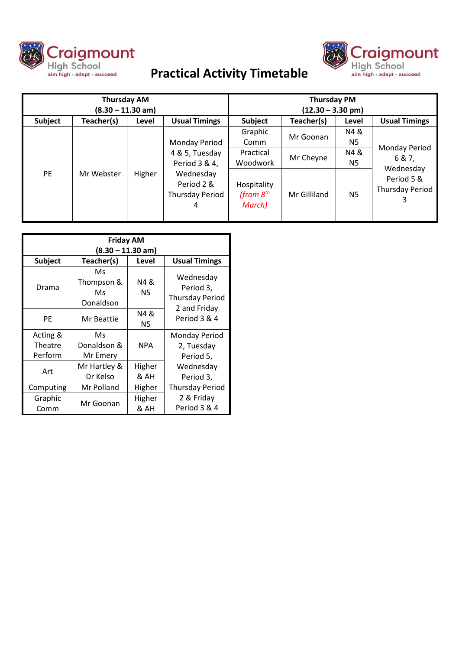

# **Practical Activity Timetable**



| <b>Thursday AM</b><br>$(8.30 - 11.30$ am) |            |        |                                                                  | <b>Thursday PM</b><br>$(12.30 - 3.30$ pm) |                        |           |                                                                                     |
|-------------------------------------------|------------|--------|------------------------------------------------------------------|-------------------------------------------|------------------------|-----------|-------------------------------------------------------------------------------------|
| Subject                                   | Teacher(s) | Level  | <b>Usual Timings</b>                                             | <b>Subject</b>                            | Teacher(s)             | Level     | <b>Usual Timings</b>                                                                |
|                                           | Mr Webster |        |                                                                  | Graphic                                   | Mr Goonan<br>Mr Cheyne | N4 &      | <b>Monday Period</b><br>6 & 7,<br>Wednesday<br>Period 5 &<br><b>Thursday Period</b> |
| <b>PE</b>                                 |            |        | Monday Period                                                    | Comm                                      |                        | N5        |                                                                                     |
|                                           |            |        | 4 & 5, Tuesday                                                   | Practical                                 |                        | N4&       |                                                                                     |
|                                           |            |        | Period 3 & 4,<br>Wednesday<br>Period 2 &<br>Thursday Period<br>4 | Woodwork                                  |                        | N5        |                                                                                     |
|                                           |            | Higher |                                                                  | Hospitality<br>(from $8th$<br>March)      | Mr Gilliland           | <b>N5</b> |                                                                                     |

| <b>Friday AM</b><br>$(8.30 - 11.30$ am) |                                     |                |                                                  |  |  |  |  |
|-----------------------------------------|-------------------------------------|----------------|--------------------------------------------------|--|--|--|--|
| <b>Subject</b>                          | Teacher(s)                          | Level          | <b>Usual Timings</b>                             |  |  |  |  |
| Drama                                   | Ms<br>Thompson &<br>Ms<br>Donaldson | N4 &<br>N5     | Wednesday<br>Period 3,<br><b>Thursday Period</b> |  |  |  |  |
| PF                                      | Mr Beattie                          | N4 &<br>N5     | 2 and Friday<br>Period 3 & 4                     |  |  |  |  |
| Acting &                                | Ms                                  |                | Monday Period                                    |  |  |  |  |
| Theatre                                 | Donaldson &                         | <b>NPA</b>     | 2, Tuesday<br>Period 5,                          |  |  |  |  |
| Perform                                 | Mr Emery                            |                |                                                  |  |  |  |  |
| Art                                     | Mr Hartley &                        | Higher         | Wednesday                                        |  |  |  |  |
|                                         | Dr Kelso                            | & AH           | Period 3,                                        |  |  |  |  |
| Computing                               | Mr Polland                          | Higher         | <b>Thursday Period</b>                           |  |  |  |  |
| Graphic<br>Comm                         | Mr Goonan                           | Higher<br>& AH | 2 & Friday<br>Period 3 & 4                       |  |  |  |  |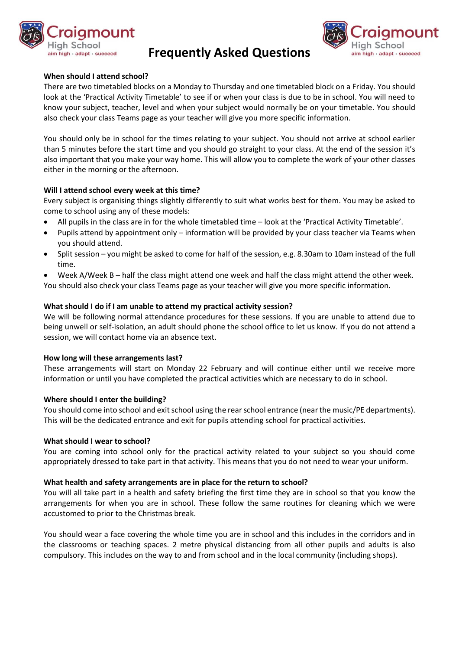

# **Frequently Asked Questions**



# **When should I attend school?**

There are two timetabled blocks on a Monday to Thursday and one timetabled block on a Friday. You should look at the 'Practical Activity Timetable' to see if or when your class is due to be in school. You will need to know your subject, teacher, level and when your subject would normally be on your timetable. You should also check your class Teams page as your teacher will give you more specific information.

You should only be in school for the times relating to your subject. You should not arrive at school earlier than 5 minutes before the start time and you should go straight to your class. At the end of the session it's also important that you make your way home. This will allow you to complete the work of your other classes either in the morning or the afternoon.

#### **Will I attend school every week at this time?**

Every subject is organising things slightly differently to suit what works best for them. You may be asked to come to school using any of these models:

- All pupils in the class are in for the whole timetabled time look at the 'Practical Activity Timetable'.
- Pupils attend by appointment only information will be provided by your class teacher via Teams when you should attend.
- Split session you might be asked to come for half of the session, e.g. 8.30am to 10am instead of the full time.
- Week A/Week B half the class might attend one week and half the class might attend the other week. You should also check your class Teams page as your teacher will give you more specific information.

# **What should I do if I am unable to attend my practical activity session?**

We will be following normal attendance procedures for these sessions. If you are unable to attend due to being unwell or self-isolation, an adult should phone the school office to let us know. If you do not attend a session, we will contact home via an absence text.

#### **How long will these arrangements last?**

These arrangements will start on Monday 22 February and will continue either until we receive more information or until you have completed the practical activities which are necessary to do in school.

#### **Where should I enter the building?**

You should come into school and exit school using the rear school entrance (near the music/PE departments). This will be the dedicated entrance and exit for pupils attending school for practical activities.

#### **What should I wear to school?**

You are coming into school only for the practical activity related to your subject so you should come appropriately dressed to take part in that activity. This means that you do not need to wear your uniform.

#### **What health and safety arrangements are in place for the return to school?**

You will all take part in a health and safety briefing the first time they are in school so that you know the arrangements for when you are in school. These follow the same routines for cleaning which we were accustomed to prior to the Christmas break.

You should wear a face covering the whole time you are in school and this includes in the corridors and in the classrooms or teaching spaces. 2 metre physical distancing from all other pupils and adults is also compulsory. This includes on the way to and from school and in the local community (including shops).